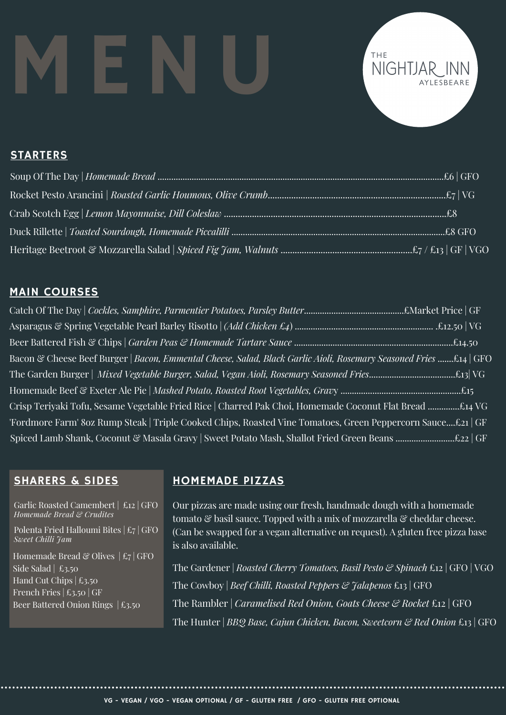# MENU



## STARTERS

# MAIN COURSES

Asparagus & Spring Vegetable Pearl Barley Risotto | *(Add Chicken £4*) ............................................................. .£12.50 | VG Catch Of The Day | *Cockles, Samphire, Parmentier Potatoes, Parsley Butter*............................................£Market Price | GF Beer Battered Fish & Chips | *Garden Peas & Homemade Tartare Sauce* ......................................................................£14.50 Homemade Beef & Exeter Ale Pie | *Mashed Potato, Roasted Root Vegetables, Grav*y .....................................................£15 Crisp Teriyaki Tofu, Sesame Vegetable Fried Rice | Charred Pak Choi, Homemade Coconut Flat Bread ..............£14 VG Bacon & Cheese Beef Burger | *Bacon, Emmental Cheese, Salad, Black Garlic Aioli, Rosemary Seasoned Fries* .......£14 | GFO The Garden Burger | *Mixed Vegetable Burger, Salad, Vegan Aioli, Rosemary Seasoned Fries*......................................£13| VG 'Fordmore Farm' 8oz Rump Steak | Triple Cooked Chips, Roasted Vine Tomatoes, Green Peppercorn Sauce....£21 | GF Spiced Lamb Shank, Coconut & Masala Gravy | Sweet Potato Mash, Shallot Fried Green Beans ..............................£22 | GF

### SHARERS & SIDES

Garlic Roasted Camembert | £12 | GFO *Homemade Bread & Crudites*

Polenta Fried Halloumi Bites | £7 | GFO *Sweet Chilli Jam*

Homemade Bread & Olives  $| \pounds_7 |$  GFO Side Salad  $\mid \text{\pounds}_{3.50}$ Hand Cut Chips  $|\,\text{\pounds}_{3.50}$ French Fries  $|\text{\pounds}_{3.50}|$  GF Beer Battered Onion Rings | £3.50

# HOMEMADE PIZZAS

Our pizzas are made using our fresh, handmade dough with a homemade tomato & basil sauce. Topped with a mix of mozzarella & cheddar cheese. (Can be swapped for a vegan alternative on request). A gluten free pizza base is also available.

The Hunter | *BBQ Base, Cajun Chicken, Bacon, Sweetcorn & Red Onion* £13 | GFO The Cowboy | *Beef Chilli, Roasted Peppers & Jalapenos* £13 | GFO The Gardener | *Roasted Cherry Tomatoes, Basil Pesto & Spinach* £12 | GFO | VGO The Rambler | *Caramelised Red Onion, Goats Cheese & Rocket* £12 | GFO

VG - VEGAN / VGO - VEGAN OPTIONAL / GF - GLUTEN FREE / GFO - GLUTEN FREE OPTIONAL